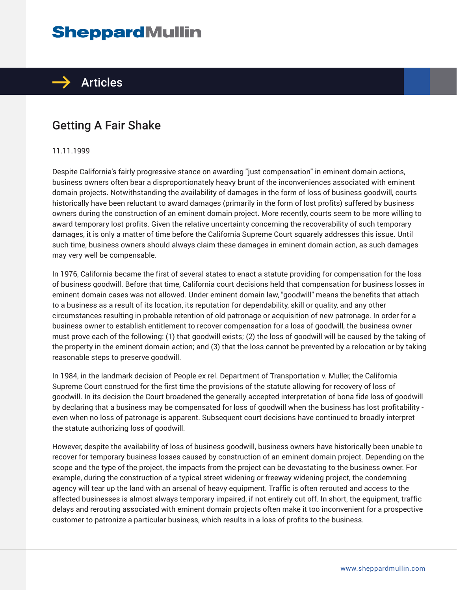# **SheppardMullin**



# Getting A Fair Shake

#### 11.11.1999

Despite California's fairly progressive stance on awarding "just compensation" in eminent domain actions, business owners often bear a disproportionately heavy brunt of the inconveniences associated with eminent domain projects. Notwithstanding the availability of damages in the form of loss of business goodwill, courts historically have been reluctant to award damages (primarily in the form of lost profits) suffered by business owners during the construction of an eminent domain project. More recently, courts seem to be more willing to award temporary lost profits. Given the relative uncertainty concerning the recoverability of such temporary damages, it is only a matter of time before the California Supreme Court squarely addresses this issue. Until such time, business owners should always claim these damages in eminent domain action, as such damages may very well be compensable.

In 1976, California became the first of several states to enact a statute providing for compensation for the loss of business goodwill. Before that time, California court decisions held that compensation for business losses in eminent domain cases was not allowed. Under eminent domain law, "goodwill" means the benefits that attach to a business as a result of its location, its reputation for dependability, skill or quality, and any other circumstances resulting in probable retention of old patronage or acquisition of new patronage. In order for a business owner to establish entitlement to recover compensation for a loss of goodwill, the business owner must prove each of the following: (1) that goodwill exists; (2) the loss of goodwill will be caused by the taking of the property in the eminent domain action; and (3) that the loss cannot be prevented by a relocation or by taking reasonable steps to preserve goodwill.

In 1984, in the landmark decision of People ex rel. Department of Transportation v. Muller, the California Supreme Court construed for the first time the provisions of the statute allowing for recovery of loss of goodwill. In its decision the Court broadened the generally accepted interpretation of bona fide loss of goodwill by declaring that a business may be compensated for loss of goodwill when the business has lost profitability even when no loss of patronage is apparent. Subsequent court decisions have continued to broadly interpret the statute authorizing loss of goodwill.

However, despite the availability of loss of business goodwill, business owners have historically been unable to recover for temporary business losses caused by construction of an eminent domain project. Depending on the scope and the type of the project, the impacts from the project can be devastating to the business owner. For example, during the construction of a typical street widening or freeway widening project, the condemning agency will tear up the land with an arsenal of heavy equipment. Traffic is often rerouted and access to the affected businesses is almost always temporary impaired, if not entirely cut off. In short, the equipment, traffic delays and rerouting associated with eminent domain projects often make it too inconvenient for a prospective customer to patronize a particular business, which results in a loss of profits to the business.